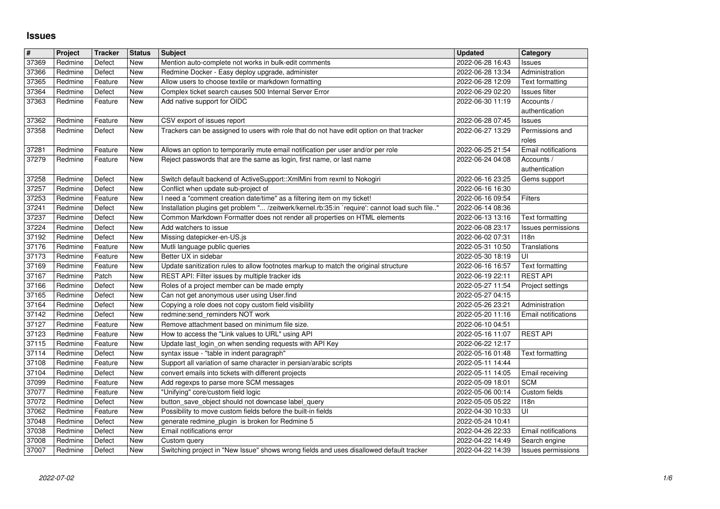## **Issues**

| #              | Project            | <b>Tracker</b>    | <b>Status</b> | <b>Subject</b>                                                                                          | <b>Updated</b>                       | Category                              |
|----------------|--------------------|-------------------|---------------|---------------------------------------------------------------------------------------------------------|--------------------------------------|---------------------------------------|
| 37369          | Redmine            | Defect            | New           | Mention auto-complete not works in bulk-edit comments                                                   | 2022-06-28 16:43                     | Issues                                |
| 37366          | Redmine            | Defect            | <b>New</b>    | Redmine Docker - Easy deploy upgrade, administer                                                        | 2022-06-28 13:34                     | Administration                        |
| 37365          | Redmine            | Feature           | <b>New</b>    | Allow users to choose textile or markdown formatting                                                    | 2022-06-28 12:09                     | Text formatting                       |
| 37364<br>37363 | Redmine<br>Redmine | Defect<br>Feature | New<br>New    | Complex ticket search causes 500 Internal Server Error<br>Add native support for OIDC                   | 2022-06-29 02:20<br>2022-06-30 11:19 | Issues filter<br>Accounts /           |
|                |                    |                   |               |                                                                                                         |                                      | authentication                        |
| 37362          | Redmine            | Feature           | New           | CSV export of issues report                                                                             | 2022-06-28 07:45                     | <b>Issues</b>                         |
| 37358          | Redmine            | Defect            | New           | Trackers can be assigned to users with role that do not have edit option on that tracker                | 2022-06-27 13:29                     | Permissions and                       |
|                |                    |                   |               |                                                                                                         |                                      | roles                                 |
| 37281          | Redmine            | Feature           | New           | Allows an option to temporarily mute email notification per user and/or per role                        | 2022-06-25 21:54                     | Email notifications                   |
| 37279          | Redmine            | Feature           | New           | Reject passwords that are the same as login, first name, or last name                                   | 2022-06-24 04:08                     | Accounts /                            |
| 37258          | Redmine            | Defect            | <b>New</b>    | Switch default backend of ActiveSupport:: XmlMini from rexml to Nokogiri                                | 2022-06-16 23:25                     | authentication<br>Gems support        |
| 37257          | Redmine            | Defect            | New           | Conflict when update sub-project of                                                                     | 2022-06-16 16:30                     |                                       |
| 37253          | Redmine            | Feature           | New           | I need a "comment creation date/time" as a filtering item on my ticket!                                 | 2022-06-16 09:54                     | Filters                               |
| 37241          | Redmine            | Defect            | New           | Installation plugins get problem " /zeitwerk/kernel.rb:35:in `require': cannot load such file"          | 2022-06-14 08:36                     |                                       |
| 37237          | Redmine            | Defect            | New           | Common Markdown Formatter does not render all properties on HTML elements                               | 2022-06-13 13:16                     | Text formatting                       |
| 37224<br>37192 | Redmine<br>Redmine | Defect<br>Defect  | New<br>New    | Add watchers to issue<br>Missing datepicker-en-US.js                                                    | 2022-06-08 23:17<br>2022-06-02 07:31 | Issues permissions<br>118n            |
| 37176          | Redmine            | Feature           | New           | Mutli language public queries                                                                           | 2022-05-31 10:50                     | Translations                          |
| 37173          | Redmine            | Feature           | New           | Better UX in sidebar                                                                                    | 2022-05-30 18:19                     | UI                                    |
| 37169          | Redmine            | Feature           | New           | Update sanitization rules to allow footnotes markup to match the original structure                     | 2022-06-16 16:57                     | <b>Text formatting</b>                |
| 37167          | Redmine            | Patch             | New           | REST API: Filter issues by multiple tracker ids                                                         | 2022-06-19 22:11                     | <b>REST API</b>                       |
| 37166          | Redmine            | Defect            | New           | Roles of a project member can be made empty                                                             | 2022-05-27 11:54                     | Project settings                      |
| 37165          | Redmine            | Defect            | <b>New</b>    | Can not get anonymous user using User.find                                                              | 2022-05-27 04:15                     |                                       |
| 37164<br>37142 | Redmine<br>Redmine | Defect<br>Defect  | New<br>New    | Copying a role does not copy custom field visibility<br>redmine:send_reminders NOT work                 | 2022-05-26 23:21<br>2022-05-20 11:16 | Administration<br>Email notifications |
| 37127          | Redmine            | Feature           | New           | Remove attachment based on minimum file size.                                                           | 2022-06-10 04:51                     |                                       |
| 37123          | Redmine            | Feature           | New           | How to access the "Link values to URL" using API                                                        | 2022-05-16 11:07                     | <b>REST API</b>                       |
| 37115          | Redmine            | Feature           | New           | Update last_login_on when sending requests with API Key                                                 | 2022-06-22 12:17                     |                                       |
| 37114          | Redmine            | Defect            | New           | syntax issue - "table in indent paragraph"                                                              | 2022-05-16 01:48                     | <b>Text formatting</b>                |
| 37108          | Redmine            | Feature           | New           | Support all variation of same character in persian/arabic scripts                                       | 2022-05-11 14:44                     |                                       |
| 37104<br>37099 | Redmine<br>Redmine | Defect<br>Feature | New<br>New    | convert emails into tickets with different projects<br>Add regexps to parse more SCM messages           | 2022-05-11 14:05<br>2022-05-09 18:01 | Email receiving<br><b>SCM</b>         |
| 37077          | Redmine            | Feature           | New           | "Unifying" core/custom field logic                                                                      | 2022-05-06 00:14                     | Custom fields                         |
| 37072          | Redmine            | Defect            | New           | button_save_object should not downcase label_query                                                      | 2022-05-05 05:22                     | 118n                                  |
| 37062          | Redmine            | Feature           | New           | Possibility to move custom fields before the built-in fields                                            | 2022-04-30 10:33                     | UI                                    |
| 37048          | Redmine            | Defect            | New           | generate redmine_plugin_is broken for Redmine 5                                                         | 2022-05-24 10:41                     |                                       |
| 37038          | Redmine            | Defect            | New           | Email notifications error                                                                               | 2022-04-26 22:33                     | <b>Email notifications</b>            |
| 37008<br>37007 | Redmine<br>Redmine | Defect<br>Defect  | New<br>New    | Custom query<br>Switching project in "New Issue" shows wrong fields and uses disallowed default tracker | 2022-04-22 14:49<br>2022-04-22 14:39 | Search engine<br>Issues permissions   |
|                |                    |                   |               |                                                                                                         |                                      |                                       |
|                |                    |                   |               |                                                                                                         |                                      |                                       |
|                |                    |                   |               |                                                                                                         |                                      |                                       |
|                |                    |                   |               |                                                                                                         |                                      |                                       |
|                |                    |                   |               |                                                                                                         |                                      |                                       |
|                |                    |                   |               |                                                                                                         |                                      |                                       |
|                |                    |                   |               |                                                                                                         |                                      |                                       |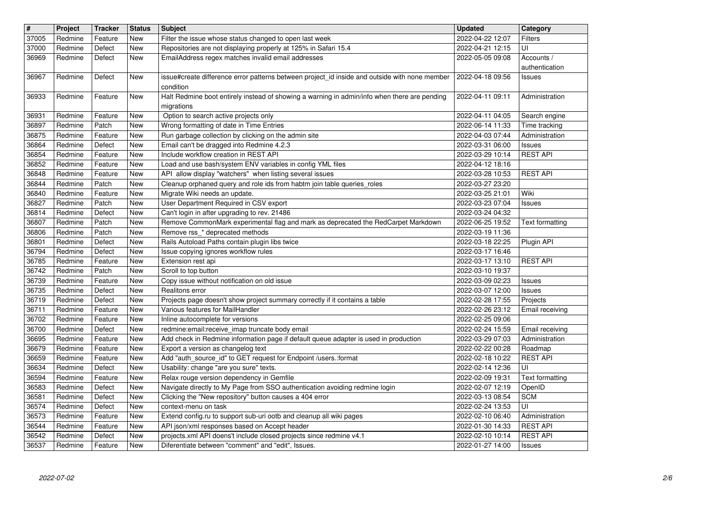| $\vert$ #      | Project            | <b>Tracker</b>     | <b>Status</b>            | Subject                                                                                                                                | <b>Updated</b>                       | Category                           |
|----------------|--------------------|--------------------|--------------------------|----------------------------------------------------------------------------------------------------------------------------------------|--------------------------------------|------------------------------------|
| 37005          | Redmine            | Feature            | New                      | Filter the issue whose status changed to open last week                                                                                | 2022-04-22 12:07                     | <b>Filters</b>                     |
| 37000          | Redmine            | Defect             | New                      | Repositories are not displaying properly at 125% in Safari 15.4                                                                        | 2022-04-21 12:15                     | UI                                 |
| 36969          | Redmine            | Defect             | New                      | EmailAddress regex matches invalid email addresses                                                                                     | 2022-05-05 09:08                     | Accounts /                         |
| 36967          | Redmine            | Defect             | <b>New</b>               | issue#create difference error patterns between project_id inside and outside with none member                                          | 2022-04-18 09:56                     | authentication<br>Issues           |
| 36933          | Redmine            | Feature            | New                      | condition<br>Halt Redmine boot entirely instead of showing a warning in admin/info when there are pending                              | 2022-04-11 09:11                     | Administration                     |
|                |                    |                    |                          | migrations                                                                                                                             |                                      |                                    |
| 36931          | Redmine            | Feature            | <b>New</b>               | Option to search active projects only                                                                                                  | 2022-04-11 04:05                     | Search engine                      |
| 36897          | Redmine            | Patch              | <b>New</b>               | Wrong formatting of date in Time Entries                                                                                               | 2022-06-14 11:33                     | Time tracking                      |
| 36875          | Redmine            | Feature            | <b>New</b>               | Run garbage collection by clicking on the admin site                                                                                   | 2022-04-03 07:44                     | Administration                     |
| 36864          | Redmine            | Defect             | New                      | Email can't be dragged into Redmine 4.2.3                                                                                              | 2022-03-31 06:00                     | Issues                             |
| 36854<br>36852 | Redmine<br>Redmine | Feature<br>Feature | New<br><b>New</b>        | Include workflow creation in REST API<br>Load and use bash/system ENV variables in config YML files                                    | 2022-03-29 10:14<br>2022-04-12 18:16 | <b>REST API</b>                    |
| 36848<br>36844 | Redmine<br>Redmine | Feature<br>Patch   | New<br>New               | API allow display "watchers" when listing several issues<br>Cleanup orphaned query and role ids from habtm join table queries_roles    | 2022-03-28 10:53<br>2022-03-27 23:20 | <b>REST API</b>                    |
| 36840          | Redmine            | Feature            | New                      | Migrate Wiki needs an update.                                                                                                          | 2022-03-25 21:01                     | Wiki                               |
| 36827          | Redmine            | Patch              | <b>New</b>               | User Department Required in CSV export                                                                                                 | 2022-03-23 07:04                     | Issues                             |
| 36814          | Redmine            | Defect             | <b>New</b>               | Can't login in after upgrading to rev. 21486                                                                                           | 2022-03-24 04:32                     |                                    |
| 36807          | Redmine<br>Redmine | Patch<br>Patch     | <b>New</b>               | Remove CommonMark experimental flag and mark as deprecated the RedCarpet Markdown<br>Remove rss_* deprecated methods                   | 2022-06-25 19:52                     | Text formatting                    |
| 36806<br>36801 | Redmine            | Defect             | New<br><b>New</b>        | Rails Autoload Paths contain plugin libs twice                                                                                         | 2022-03-19 11:36<br>2022-03-18 22:25 | Plugin API                         |
| 36794          | Redmine            | Defect             | <b>New</b>               | Issue copying ignores workflow rules                                                                                                   | 2022-03-17 16:46                     |                                    |
| 36785          | Redmine            | Feature            | New                      | Extension rest api                                                                                                                     | 2022-03-17 13:10                     | <b>REST API</b>                    |
| 36742          | Redmine            | Patch              | New                      | Scroll to top button                                                                                                                   | 2022-03-10 19:37                     |                                    |
| 36739          | Redmine            | Feature            | New                      | Copy issue without notification on old issue                                                                                           | 2022-03-09 02:23                     | Issues                             |
| 36735          | Redmine            | Defect             | New                      | Realitons error                                                                                                                        | 2022-03-07 12:00                     | Issues                             |
| 36719          | Redmine            | Defect             | <b>New</b>               | Projects page doesn't show project summary correctly if it contains a table                                                            | 2022-02-28 17:55                     | Projects                           |
| 36711          | Redmine            | Feature            | <b>New</b>               | Various features for MailHandler                                                                                                       | 2022-02-26 23:12                     | Email receiving                    |
| 36702          | Redmine            | Feature            | New                      | Inline autocomplete for versions                                                                                                       | 2022-02-25 09:06                     |                                    |
| 36700<br>36695 | Redmine<br>Redmine | Defect<br>Feature  | <b>New</b><br><b>New</b> | redmine:email:receive_imap truncate body email<br>Add check in Redmine information page if default queue adapter is used in production | 2022-02-24 15:59<br>2022-03-29 07:03 | Email receiving<br>Administration  |
| 36679          | Redmine            | Feature            | New                      | Export a version as changelog text                                                                                                     | 2022-02-22 00:28                     | Roadmap                            |
| 36659          | Redmine            | Feature            | New                      | Add "auth_source_id" to GET request for Endpoint /users.:format                                                                        | 2022-02-18 10:22                     | <b>REST API</b>                    |
| 36634          | Redmine            | Defect             | New                      | Usability: change "are you sure" texts.                                                                                                | 2022-02-14 12:36                     | UI                                 |
| 36594          | Redmine            | Feature            | New                      | Relax rouge version dependency in Gemfile                                                                                              | 2022-02-09 19:31                     | Text formatting                    |
| 36583          | Redmine            | Defect             | <b>New</b>               | Navigate directly to My Page from SSO authentication avoiding redmine login                                                            | 2022-02-07 12:19                     | OpenID                             |
| 36581          | Redmine            | Defect             | New                      | Clicking the "New repository" button causes a 404 error                                                                                | 2022-03-13 08:54                     | <b>SCM</b>                         |
| 36574          | Redmine            | Defect             | New                      | context-menu on task                                                                                                                   | 2022-02-24 13:53                     | $\overline{U}$                     |
| 36573          | Redmine            | Feature            | New                      | Extend config.ru to support sub-uri ootb and cleanup all wiki pages                                                                    | 2022-02-10 06:40                     | Administration                     |
| 36544<br>36542 | Redmine            | Feature            | New<br>New               | API json/xml responses based on Accept header<br>projects.xml API doens't include closed projects since redmine v4.1                   | 2022-01-30 14:33<br>2022-02-10 10:14 | <b>REST API</b><br><b>REST API</b> |
| 36537          | Redmine<br>Redmine | Defect<br>Feature  | New                      | Diferentiate between "comment" and "edit", Issues.                                                                                     | 2022-01-27 14:00                     | <b>Issues</b>                      |
|                |                    |                    |                          |                                                                                                                                        |                                      |                                    |
|                |                    |                    |                          |                                                                                                                                        |                                      |                                    |
|                |                    |                    |                          |                                                                                                                                        |                                      |                                    |
|                |                    |                    |                          |                                                                                                                                        |                                      |                                    |
|                |                    |                    |                          |                                                                                                                                        |                                      |                                    |
|                |                    |                    |                          |                                                                                                                                        |                                      |                                    |
|                |                    |                    |                          |                                                                                                                                        |                                      |                                    |
|                |                    |                    |                          |                                                                                                                                        |                                      |                                    |
|                |                    |                    |                          |                                                                                                                                        |                                      |                                    |
|                |                    |                    |                          |                                                                                                                                        |                                      |                                    |
|                |                    |                    |                          |                                                                                                                                        |                                      |                                    |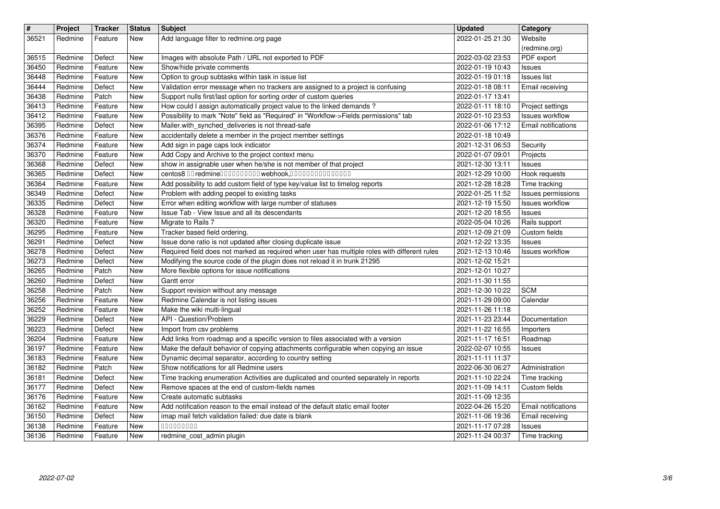| $\overline{\mathbf{H}}$<br>36521 | Project<br>Redmine | <b>Tracker</b><br>Feature | <b>Status</b><br>New     | <b>Subject</b><br>Add language filter to redmine.org page                                                                                                     | <b>Updated</b><br>2022-01-25 21:30   | Category<br>Website                           |
|----------------------------------|--------------------|---------------------------|--------------------------|---------------------------------------------------------------------------------------------------------------------------------------------------------------|--------------------------------------|-----------------------------------------------|
| 36515                            | Redmine            | Defect                    | New                      | Images with absolute Path / URL not exported to PDF                                                                                                           | 2022-03-02 23:53                     | (redmine.org)<br>PDF export                   |
| 36450                            | Redmine            | Feature                   | New                      | Show/hide private comments                                                                                                                                    | 2022-01-19 10:43                     | Issues                                        |
| 36448<br>36444                   | Redmine<br>Redmine | Feature<br>Defect         | New<br>New               | Option to group subtasks within task in issue list<br>Validation error message when no trackers are assigned to a project is confusing                        | 2022-01-19 01:18<br>2022-01-18 08:11 | <b>Issues list</b><br>Email receiving         |
| 36438<br>36413                   | Redmine<br>Redmine | Patch<br>Feature          | New<br>New               | Support nulls first/last option for sorting order of custom queries<br>How could I assign automatically project value to the linked demands?                  | 2022-01-17 13:41<br>2022-01-11 18:10 | Project settings                              |
| 36412<br>36395                   | Redmine<br>Redmine | Feature<br>Defect         | New<br>New               | Possibility to mark "Note" field as "Required" in "Workflow->Fields permissions" tab<br>Mailer.with_synched_deliveries is not thread-safe                     | 2022-01-10 23:53<br>2022-01-06 17:12 | <b>Issues workflow</b><br>Email notifications |
| 36376                            | Redmine            | Feature                   | New                      | accidentally delete a member in the project member settings                                                                                                   | 2022-01-18 10:49                     |                                               |
| 36374<br>36370                   | Redmine<br>Redmine | Feature<br>Feature        | New<br>New               | Add sign in page caps lock indicator<br>Add Copy and Archive to the project context menu                                                                      | 2021-12-31 06:53<br>2022-01-07 09:01 | Security<br>Projects                          |
| 36368<br>36365                   | Redmine<br>Redmine | Defect<br>Defect          | New<br>New               | show in assignable user when he/she is not member of that project<br>centos8 00 redmine0000000000 webhook,000000000000000                                     | 2021-12-30 13:11<br>2021-12-29 10:00 | Issues<br>Hook requests                       |
| 36364                            | Redmine            | Feature                   | New                      | Add possibility to add custom field of type key/value list to timelog reports                                                                                 | 2021-12-28 18:28                     | Time tracking                                 |
| 36349<br>36335                   | Redmine<br>Redmine | Defect<br>Defect          | New<br>New               | Problem with adding peopel to existing tasks<br>Error when editing workflow with large number of statuses                                                     | 2022-01-25 11:52<br>2021-12-19 15:50 | Issues permissions<br><b>Issues workflow</b>  |
| 36328<br>36320                   | Redmine<br>Redmine | Feature<br>Feature        | New<br>New               | Issue Tab - View Issue and all its descendants<br>Migrate to Rails 7                                                                                          | 2021-12-20 18:55<br>2022-05-04 10:26 | Issues<br>Rails support                       |
| 36295                            | Redmine<br>Redmine | Feature                   | New                      | Tracker based field ordering.                                                                                                                                 | 2021-12-09 21:09                     | Custom fields                                 |
| 36291<br>36278                   | Redmine            | Defect<br>Defect          | New<br><b>New</b>        | Issue done ratio is not updated after closing duplicate issue<br>Required field does not marked as required when user has multiple roles with different rules | 2021-12-22 13:35<br>2021-12-13 10:46 | Issues<br><b>Issues workflow</b>              |
| 36273<br>36265                   | Redmine<br>Redmine | Defect<br>Patch           | <b>New</b><br><b>New</b> | Modifying the source code of the plugin does not reload it in trunk 21295<br>More flexible options for issue notifications                                    | 2021-12-02 15:21<br>2021-12-01 10:27 |                                               |
| 36260<br>36258                   | Redmine<br>Redmine | Defect<br>Patch           | New<br>New               | Gantt error<br>Support revision without any message                                                                                                           | 2021-11-30 11:55                     | <b>SCM</b>                                    |
| 36256                            | Redmine            | Feature                   | New                      | Redmine Calendar is not listing issues                                                                                                                        | 2021-12-30 10:22<br>2021-11-29 09:00 | Calendar                                      |
| 36252<br>36229                   | Redmine<br>Redmine | Feature<br>Defect         | New<br>New               | Make the wiki multi-lingual<br>API - Question/Problem                                                                                                         | 2021-11-26 11:18<br>2021-11-23 23:44 | Documentation                                 |
| 36223<br>36204                   | Redmine<br>Redmine | Defect<br>Feature         | New                      | Import from csv problems<br>Add links from roadmap and a specific version to files associated with a version                                                  | 2021-11-22 16:55                     | Importers                                     |
| 36197                            | Redmine            | Feature                   | New<br>New               | Make the default behavior of copying attachments configurable when copying an issue                                                                           | 2021-11-17 16:51<br>2022-02-07 10:55 | Roadmap<br>Issues                             |
| 36183<br>36182                   | Redmine<br>Redmine | Feature<br>Patch          | New<br>New               | Dynamic decimal separator, according to country setting<br>Show notifications for all Redmine users                                                           | 2021-11-11 11:37<br>2022-06-30 06:27 | Administration                                |
| 36181<br>36177                   | Redmine<br>Redmine | Defect<br>Defect          | New<br>New               | Time tracking enumeration Activities are duplicated and counted separately in reports<br>Remove spaces at the end of custom-fields names                      | 2021-11-10 22:24<br>2021-11-09 14:11 | Time tracking<br>Custom fields                |
| 36176                            | Redmine            | Feature                   | New                      | Create automatic subtasks                                                                                                                                     | 2021-11-09 12:35                     |                                               |
| 36162<br>36150                   | Redmine<br>Redmine | Feature<br>Defect         | New<br><b>New</b>        | Add notification reason to the email instead of the default static email footer<br>imap mail fetch validation failed: due date is blank                       | 2022-04-26 15:20<br>2021-11-06 19:36 | <b>Email</b> notifications<br>Email receiving |
| 36138<br>36136                   | Redmine<br>Redmine | Feature<br>Feature        | New<br>New               | 00000000<br>redmine_cost_admin plugin                                                                                                                         | 2021-11-17 07:28<br>2021-11-24 00:37 | Issues<br>Time tracking                       |
|                                  |                    |                           |                          |                                                                                                                                                               |                                      |                                               |
|                                  |                    |                           |                          |                                                                                                                                                               |                                      |                                               |
|                                  |                    |                           |                          |                                                                                                                                                               |                                      |                                               |
|                                  |                    |                           |                          |                                                                                                                                                               |                                      |                                               |
|                                  |                    |                           |                          |                                                                                                                                                               |                                      |                                               |
|                                  |                    |                           |                          |                                                                                                                                                               |                                      |                                               |
|                                  |                    |                           |                          |                                                                                                                                                               |                                      |                                               |
|                                  |                    |                           |                          |                                                                                                                                                               |                                      |                                               |
|                                  |                    |                           |                          |                                                                                                                                                               |                                      |                                               |
|                                  |                    |                           |                          |                                                                                                                                                               |                                      |                                               |
|                                  |                    |                           |                          |                                                                                                                                                               |                                      |                                               |
|                                  |                    |                           |                          |                                                                                                                                                               |                                      |                                               |
|                                  |                    |                           |                          |                                                                                                                                                               |                                      |                                               |
|                                  |                    |                           |                          |                                                                                                                                                               |                                      |                                               |
|                                  |                    |                           |                          |                                                                                                                                                               |                                      |                                               |
|                                  |                    |                           |                          |                                                                                                                                                               |                                      |                                               |
|                                  |                    |                           |                          |                                                                                                                                                               |                                      |                                               |
|                                  |                    |                           |                          |                                                                                                                                                               |                                      |                                               |
|                                  |                    |                           |                          |                                                                                                                                                               |                                      |                                               |
|                                  |                    |                           |                          |                                                                                                                                                               |                                      |                                               |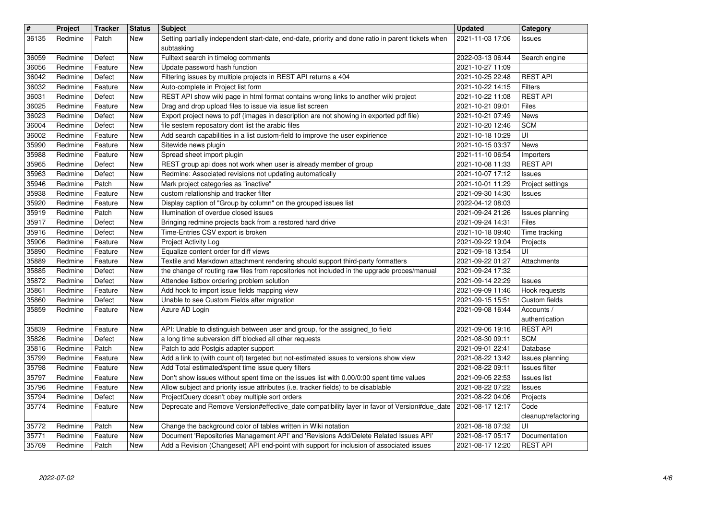| Patch<br>New<br>Issues<br>subtasking<br>Fulltext search in timelog comments<br>36059<br>Redmine<br>Defect<br><b>New</b><br>2022-03-13 06:44<br>Search engine<br>Update password hash function<br>2021-10-27 11:09<br>36056<br>Redmine<br>Feature<br>New<br>Filtering issues by multiple projects in REST API returns a 404<br><b>REST API</b><br>36042<br>Defect<br>2021-10-25 22:48<br>Redmine<br>New<br>36032<br>Auto-complete in Project list form<br>2021-10-22 14:15<br>Redmine<br>Feature<br><b>Filters</b><br>New<br>REST API show wiki page in html format contains wrong links to another wiki project<br><b>REST API</b><br>36031<br>Redmine<br>2021-10-22 11:08<br>Defect<br>New<br>36025<br>Drag and drop upload files to issue via issue list screen<br>2021-10-21 09:01<br>Files<br>Redmine<br>Feature<br>New<br>Export project news to pdf (images in description are not showing in exported pdf file)<br>36023<br>2021-10-21 07:49<br><b>News</b><br>Redmine<br>Defect<br>New<br><b>SCM</b><br>file sestem reposatory dont list the arabic files<br>36004<br>2021-10-20 12:46<br>Redmine<br>Defect<br>New<br>UI<br>36002<br>Add search capabilities in a list custom-field to improve the user expirience<br>Redmine<br>Feature<br>2021-10-18 10:29<br>New<br>35990<br>Sitewide news plugin<br>Redmine<br>Feature<br>2021-10-15 03:37<br><b>News</b><br>New<br>35988<br>Spread sheet import plugin<br>Redmine<br>2021-11-10 06:54<br>Feature<br>New<br>Importers<br>35965<br>REST group api does not work when user is already member of group<br><b>REST API</b><br>Redmine<br>Defect<br>2021-10-08 11:33<br>New<br>35963<br>Redmine: Associated revisions not updating automatically<br>2021-10-07 17:12<br>Redmine<br>Defect<br>New<br>Issues<br>35946<br>Mark project categories as "inactive"<br>Redmine<br>2021-10-01 11:29<br>Project settings<br>Patch<br>New<br>35938<br>custom relationship and tracker filter<br>Redmine<br>2021-09-30 14:30<br>Feature<br>New<br>Issues<br>35920<br>Display caption of "Group by column" on the grouped issues list<br>2022-04-12 08:03<br>Redmine<br>Feature<br>New<br>35919<br>Patch<br>Illumination of overdue closed issues<br>2021-09-24 21:26<br>Redmine<br>New<br>Issues planning<br>35917<br>Bringing redmine projects back from a restored hard drive<br>Files<br>Redmine<br>Defect<br><b>New</b><br>2021-09-24 14:31<br>35916<br>Time-Entries CSV export is broken<br>Redmine<br>Defect<br>2021-10-18 09:40<br>Time tracking<br>New<br>35906<br>2021-09-22 19:04<br>Redmine<br>Project Activity Log<br>Feature<br>New<br>Projects<br>35890<br>Equalize content order for diff views<br>UI<br>Redmine<br>Feature<br>2021-09-18 13:54<br>New<br>35889<br>Textile and Markdown attachment rendering should support third-party formatters<br>2021-09-22 01:27<br>Redmine<br>Feature<br>New<br>Attachments<br>35885<br>the change of routing raw files from repositories not included in the upgrade proces/manual<br>Redmine<br>2021-09-24 17:32<br>Defect<br>New<br>Attendee listbox ordering problem solution<br>35872<br>Redmine<br>Defect<br>New<br>2021-09-14 22:29<br>Issues<br>Add hook to import issue fields mapping view<br>35861<br>2021-09-09 11:46<br>Hook requests<br>Redmine<br>Feature<br>New<br>Unable to see Custom Fields after migration<br>35860<br>2021-09-15 15:51<br>Custom fields<br>Redmine<br>Defect<br>New<br>35859<br>Redmine<br>Azure AD Login<br>2021-09-08 16:44<br>Accounts /<br>Feature<br>New<br>authentication<br><b>REST API</b><br>35839<br>API: Unable to distinguish between user and group, for the assigned_to field<br>2021-09-06 19:16<br>Redmine<br>Feature<br><b>New</b><br>35826<br><b>SCM</b><br>Defect<br>a long time subversion diff blocked all other requests<br>2021-08-30 09:11<br>Redmine<br>New<br>35816<br>Patch to add Postgis adapter support<br>Redmine<br>Patch<br>2021-09-01 22:41<br>Database<br>New<br>35799<br>Add a link to (with count of) targeted but not-estimated issues to versions show view<br>Redmine<br>Feature<br>2021-08-22 13:42<br>Issues planning<br>New<br>35798<br>Add Total estimated/spent time issue query filters<br>Redmine<br>Feature<br>2021-08-22 09:11<br>Issues filter<br>New<br>35797<br>Don't show issues without spent time on the issues list with 0.00/0:00 spent time values<br>2021-09-05 22:53<br>Redmine<br>Feature<br>New<br><b>Issues list</b><br>35796<br>Feature<br>Allow subject and priority issue attributes (i.e. tracker fields) to be disablable<br>2021-08-22 07:22<br>Redmine<br>New<br>Issues<br>35794<br>ProjectQuery doesn't obey multiple sort orders<br>2021-08-22 04:06<br>Redmine<br>Defect<br>New<br>Projects<br>35774<br>Feature<br>Redmine<br>New<br>Deprecate and Remove Version#effective_date compatibility layer in favor of Version#due_date 2021-08-17 12:17<br>Code<br>cleanup/refactoring<br>Patch<br>New<br>UI<br>35772<br>Redmine<br>Change the background color of tables written in Wiki notation<br>2021-08-18 07:32<br>Document 'Repositories Management API' and 'Revisions Add/Delete Related Issues API'<br>35771<br>Documentation<br>Feature<br>New<br>2021-08-17 05:17<br>Redmine<br>Add a Revision (Changeset) API end-point with support for inclusion of associated issues<br><b>REST API</b><br>35769<br>Redmine<br>Patch<br>2021-08-17 12:20<br>New<br>2022-07-02 | $\vert$ # | Project | <b>Tracker</b> | <b>Status</b> | <b>Subject</b>                                                                                     | <b>Updated</b>   | Category |
|-------------------------------------------------------------------------------------------------------------------------------------------------------------------------------------------------------------------------------------------------------------------------------------------------------------------------------------------------------------------------------------------------------------------------------------------------------------------------------------------------------------------------------------------------------------------------------------------------------------------------------------------------------------------------------------------------------------------------------------------------------------------------------------------------------------------------------------------------------------------------------------------------------------------------------------------------------------------------------------------------------------------------------------------------------------------------------------------------------------------------------------------------------------------------------------------------------------------------------------------------------------------------------------------------------------------------------------------------------------------------------------------------------------------------------------------------------------------------------------------------------------------------------------------------------------------------------------------------------------------------------------------------------------------------------------------------------------------------------------------------------------------------------------------------------------------------------------------------------------------------------------------------------------------------------------------------------------------------------------------------------------------------------------------------------------------------------------------------------------------------------------------------------------------------------------------------------------------------------------------------------------------------------------------------------------------------------------------------------------------------------------------------------------------------------------------------------------------------------------------------------------------------------------------------------------------------------------------------------------------------------------------------------------------------------------------------------------------------------------------------------------------------------------------------------------------------------------------------------------------------------------------------------------------------------------------------------------------------------------------------------------------------------------------------------------------------------------------------------------------------------------------------------------------------------------------------------------------------------------------------------------------------------------------------------------------------------------------------------------------------------------------------------------------------------------------------------------------------------------------------------------------------------------------------------------------------------------------------------------------------------------------------------------------------------------------------------------------------------------------------------------------------------------------------------------------------------------------------------------------------------------------------------------------------------------------------------------------------------------------------------------------------------------------------------------------------------------------------------------------------------------------------------------------------------------------------------------------------------------------------------------------------------------------------------------------------------------------------------------------------------------------------------------------------------------------------------------------------------------------------------------------------------------------------------------------------------------------------------------------------------------------------------------------------------------------------------------------------------------------------------------------------------------------------------------------------------------------------------------------------------------------------------------------------------------------------------------------------------------------------------------------------------------------------------------------------------------------------------------------------------------------------------------------------------------------------------------------------------------------------------------------------------------------------------------------------------------------------------------------------------------------|-----------|---------|----------------|---------------|----------------------------------------------------------------------------------------------------|------------------|----------|
|                                                                                                                                                                                                                                                                                                                                                                                                                                                                                                                                                                                                                                                                                                                                                                                                                                                                                                                                                                                                                                                                                                                                                                                                                                                                                                                                                                                                                                                                                                                                                                                                                                                                                                                                                                                                                                                                                                                                                                                                                                                                                                                                                                                                                                                                                                                                                                                                                                                                                                                                                                                                                                                                                                                                                                                                                                                                                                                                                                                                                                                                                                                                                                                                                                                                                                                                                                                                                                                                                                                                                                                                                                                                                                                                                                                                                                                                                                                                                                                                                                                                                                                                                                                                                                                                                                                                                                                                                                                                                                                                                                                                                                                                                                                                                                                                                                                                                                                                                                                                                                                                                                                                                                                                                                                                                                                                                                                           | 36135     | Redmine |                |               | Setting partially independent start-date, end-date, priority and done ratio in parent tickets when | 2021-11-03 17:06 |          |
|                                                                                                                                                                                                                                                                                                                                                                                                                                                                                                                                                                                                                                                                                                                                                                                                                                                                                                                                                                                                                                                                                                                                                                                                                                                                                                                                                                                                                                                                                                                                                                                                                                                                                                                                                                                                                                                                                                                                                                                                                                                                                                                                                                                                                                                                                                                                                                                                                                                                                                                                                                                                                                                                                                                                                                                                                                                                                                                                                                                                                                                                                                                                                                                                                                                                                                                                                                                                                                                                                                                                                                                                                                                                                                                                                                                                                                                                                                                                                                                                                                                                                                                                                                                                                                                                                                                                                                                                                                                                                                                                                                                                                                                                                                                                                                                                                                                                                                                                                                                                                                                                                                                                                                                                                                                                                                                                                                                           |           |         |                |               |                                                                                                    |                  |          |
|                                                                                                                                                                                                                                                                                                                                                                                                                                                                                                                                                                                                                                                                                                                                                                                                                                                                                                                                                                                                                                                                                                                                                                                                                                                                                                                                                                                                                                                                                                                                                                                                                                                                                                                                                                                                                                                                                                                                                                                                                                                                                                                                                                                                                                                                                                                                                                                                                                                                                                                                                                                                                                                                                                                                                                                                                                                                                                                                                                                                                                                                                                                                                                                                                                                                                                                                                                                                                                                                                                                                                                                                                                                                                                                                                                                                                                                                                                                                                                                                                                                                                                                                                                                                                                                                                                                                                                                                                                                                                                                                                                                                                                                                                                                                                                                                                                                                                                                                                                                                                                                                                                                                                                                                                                                                                                                                                                                           |           |         |                |               |                                                                                                    |                  |          |
|                                                                                                                                                                                                                                                                                                                                                                                                                                                                                                                                                                                                                                                                                                                                                                                                                                                                                                                                                                                                                                                                                                                                                                                                                                                                                                                                                                                                                                                                                                                                                                                                                                                                                                                                                                                                                                                                                                                                                                                                                                                                                                                                                                                                                                                                                                                                                                                                                                                                                                                                                                                                                                                                                                                                                                                                                                                                                                                                                                                                                                                                                                                                                                                                                                                                                                                                                                                                                                                                                                                                                                                                                                                                                                                                                                                                                                                                                                                                                                                                                                                                                                                                                                                                                                                                                                                                                                                                                                                                                                                                                                                                                                                                                                                                                                                                                                                                                                                                                                                                                                                                                                                                                                                                                                                                                                                                                                                           |           |         |                |               |                                                                                                    |                  |          |
|                                                                                                                                                                                                                                                                                                                                                                                                                                                                                                                                                                                                                                                                                                                                                                                                                                                                                                                                                                                                                                                                                                                                                                                                                                                                                                                                                                                                                                                                                                                                                                                                                                                                                                                                                                                                                                                                                                                                                                                                                                                                                                                                                                                                                                                                                                                                                                                                                                                                                                                                                                                                                                                                                                                                                                                                                                                                                                                                                                                                                                                                                                                                                                                                                                                                                                                                                                                                                                                                                                                                                                                                                                                                                                                                                                                                                                                                                                                                                                                                                                                                                                                                                                                                                                                                                                                                                                                                                                                                                                                                                                                                                                                                                                                                                                                                                                                                                                                                                                                                                                                                                                                                                                                                                                                                                                                                                                                           |           |         |                |               |                                                                                                    |                  |          |
|                                                                                                                                                                                                                                                                                                                                                                                                                                                                                                                                                                                                                                                                                                                                                                                                                                                                                                                                                                                                                                                                                                                                                                                                                                                                                                                                                                                                                                                                                                                                                                                                                                                                                                                                                                                                                                                                                                                                                                                                                                                                                                                                                                                                                                                                                                                                                                                                                                                                                                                                                                                                                                                                                                                                                                                                                                                                                                                                                                                                                                                                                                                                                                                                                                                                                                                                                                                                                                                                                                                                                                                                                                                                                                                                                                                                                                                                                                                                                                                                                                                                                                                                                                                                                                                                                                                                                                                                                                                                                                                                                                                                                                                                                                                                                                                                                                                                                                                                                                                                                                                                                                                                                                                                                                                                                                                                                                                           |           |         |                |               |                                                                                                    |                  |          |
|                                                                                                                                                                                                                                                                                                                                                                                                                                                                                                                                                                                                                                                                                                                                                                                                                                                                                                                                                                                                                                                                                                                                                                                                                                                                                                                                                                                                                                                                                                                                                                                                                                                                                                                                                                                                                                                                                                                                                                                                                                                                                                                                                                                                                                                                                                                                                                                                                                                                                                                                                                                                                                                                                                                                                                                                                                                                                                                                                                                                                                                                                                                                                                                                                                                                                                                                                                                                                                                                                                                                                                                                                                                                                                                                                                                                                                                                                                                                                                                                                                                                                                                                                                                                                                                                                                                                                                                                                                                                                                                                                                                                                                                                                                                                                                                                                                                                                                                                                                                                                                                                                                                                                                                                                                                                                                                                                                                           |           |         |                |               |                                                                                                    |                  |          |
|                                                                                                                                                                                                                                                                                                                                                                                                                                                                                                                                                                                                                                                                                                                                                                                                                                                                                                                                                                                                                                                                                                                                                                                                                                                                                                                                                                                                                                                                                                                                                                                                                                                                                                                                                                                                                                                                                                                                                                                                                                                                                                                                                                                                                                                                                                                                                                                                                                                                                                                                                                                                                                                                                                                                                                                                                                                                                                                                                                                                                                                                                                                                                                                                                                                                                                                                                                                                                                                                                                                                                                                                                                                                                                                                                                                                                                                                                                                                                                                                                                                                                                                                                                                                                                                                                                                                                                                                                                                                                                                                                                                                                                                                                                                                                                                                                                                                                                                                                                                                                                                                                                                                                                                                                                                                                                                                                                                           |           |         |                |               |                                                                                                    |                  |          |
|                                                                                                                                                                                                                                                                                                                                                                                                                                                                                                                                                                                                                                                                                                                                                                                                                                                                                                                                                                                                                                                                                                                                                                                                                                                                                                                                                                                                                                                                                                                                                                                                                                                                                                                                                                                                                                                                                                                                                                                                                                                                                                                                                                                                                                                                                                                                                                                                                                                                                                                                                                                                                                                                                                                                                                                                                                                                                                                                                                                                                                                                                                                                                                                                                                                                                                                                                                                                                                                                                                                                                                                                                                                                                                                                                                                                                                                                                                                                                                                                                                                                                                                                                                                                                                                                                                                                                                                                                                                                                                                                                                                                                                                                                                                                                                                                                                                                                                                                                                                                                                                                                                                                                                                                                                                                                                                                                                                           |           |         |                |               |                                                                                                    |                  |          |
|                                                                                                                                                                                                                                                                                                                                                                                                                                                                                                                                                                                                                                                                                                                                                                                                                                                                                                                                                                                                                                                                                                                                                                                                                                                                                                                                                                                                                                                                                                                                                                                                                                                                                                                                                                                                                                                                                                                                                                                                                                                                                                                                                                                                                                                                                                                                                                                                                                                                                                                                                                                                                                                                                                                                                                                                                                                                                                                                                                                                                                                                                                                                                                                                                                                                                                                                                                                                                                                                                                                                                                                                                                                                                                                                                                                                                                                                                                                                                                                                                                                                                                                                                                                                                                                                                                                                                                                                                                                                                                                                                                                                                                                                                                                                                                                                                                                                                                                                                                                                                                                                                                                                                                                                                                                                                                                                                                                           |           |         |                |               |                                                                                                    |                  |          |
|                                                                                                                                                                                                                                                                                                                                                                                                                                                                                                                                                                                                                                                                                                                                                                                                                                                                                                                                                                                                                                                                                                                                                                                                                                                                                                                                                                                                                                                                                                                                                                                                                                                                                                                                                                                                                                                                                                                                                                                                                                                                                                                                                                                                                                                                                                                                                                                                                                                                                                                                                                                                                                                                                                                                                                                                                                                                                                                                                                                                                                                                                                                                                                                                                                                                                                                                                                                                                                                                                                                                                                                                                                                                                                                                                                                                                                                                                                                                                                                                                                                                                                                                                                                                                                                                                                                                                                                                                                                                                                                                                                                                                                                                                                                                                                                                                                                                                                                                                                                                                                                                                                                                                                                                                                                                                                                                                                                           |           |         |                |               |                                                                                                    |                  |          |
|                                                                                                                                                                                                                                                                                                                                                                                                                                                                                                                                                                                                                                                                                                                                                                                                                                                                                                                                                                                                                                                                                                                                                                                                                                                                                                                                                                                                                                                                                                                                                                                                                                                                                                                                                                                                                                                                                                                                                                                                                                                                                                                                                                                                                                                                                                                                                                                                                                                                                                                                                                                                                                                                                                                                                                                                                                                                                                                                                                                                                                                                                                                                                                                                                                                                                                                                                                                                                                                                                                                                                                                                                                                                                                                                                                                                                                                                                                                                                                                                                                                                                                                                                                                                                                                                                                                                                                                                                                                                                                                                                                                                                                                                                                                                                                                                                                                                                                                                                                                                                                                                                                                                                                                                                                                                                                                                                                                           |           |         |                |               |                                                                                                    |                  |          |
|                                                                                                                                                                                                                                                                                                                                                                                                                                                                                                                                                                                                                                                                                                                                                                                                                                                                                                                                                                                                                                                                                                                                                                                                                                                                                                                                                                                                                                                                                                                                                                                                                                                                                                                                                                                                                                                                                                                                                                                                                                                                                                                                                                                                                                                                                                                                                                                                                                                                                                                                                                                                                                                                                                                                                                                                                                                                                                                                                                                                                                                                                                                                                                                                                                                                                                                                                                                                                                                                                                                                                                                                                                                                                                                                                                                                                                                                                                                                                                                                                                                                                                                                                                                                                                                                                                                                                                                                                                                                                                                                                                                                                                                                                                                                                                                                                                                                                                                                                                                                                                                                                                                                                                                                                                                                                                                                                                                           |           |         |                |               |                                                                                                    |                  |          |
|                                                                                                                                                                                                                                                                                                                                                                                                                                                                                                                                                                                                                                                                                                                                                                                                                                                                                                                                                                                                                                                                                                                                                                                                                                                                                                                                                                                                                                                                                                                                                                                                                                                                                                                                                                                                                                                                                                                                                                                                                                                                                                                                                                                                                                                                                                                                                                                                                                                                                                                                                                                                                                                                                                                                                                                                                                                                                                                                                                                                                                                                                                                                                                                                                                                                                                                                                                                                                                                                                                                                                                                                                                                                                                                                                                                                                                                                                                                                                                                                                                                                                                                                                                                                                                                                                                                                                                                                                                                                                                                                                                                                                                                                                                                                                                                                                                                                                                                                                                                                                                                                                                                                                                                                                                                                                                                                                                                           |           |         |                |               |                                                                                                    |                  |          |
|                                                                                                                                                                                                                                                                                                                                                                                                                                                                                                                                                                                                                                                                                                                                                                                                                                                                                                                                                                                                                                                                                                                                                                                                                                                                                                                                                                                                                                                                                                                                                                                                                                                                                                                                                                                                                                                                                                                                                                                                                                                                                                                                                                                                                                                                                                                                                                                                                                                                                                                                                                                                                                                                                                                                                                                                                                                                                                                                                                                                                                                                                                                                                                                                                                                                                                                                                                                                                                                                                                                                                                                                                                                                                                                                                                                                                                                                                                                                                                                                                                                                                                                                                                                                                                                                                                                                                                                                                                                                                                                                                                                                                                                                                                                                                                                                                                                                                                                                                                                                                                                                                                                                                                                                                                                                                                                                                                                           |           |         |                |               |                                                                                                    |                  |          |
|                                                                                                                                                                                                                                                                                                                                                                                                                                                                                                                                                                                                                                                                                                                                                                                                                                                                                                                                                                                                                                                                                                                                                                                                                                                                                                                                                                                                                                                                                                                                                                                                                                                                                                                                                                                                                                                                                                                                                                                                                                                                                                                                                                                                                                                                                                                                                                                                                                                                                                                                                                                                                                                                                                                                                                                                                                                                                                                                                                                                                                                                                                                                                                                                                                                                                                                                                                                                                                                                                                                                                                                                                                                                                                                                                                                                                                                                                                                                                                                                                                                                                                                                                                                                                                                                                                                                                                                                                                                                                                                                                                                                                                                                                                                                                                                                                                                                                                                                                                                                                                                                                                                                                                                                                                                                                                                                                                                           |           |         |                |               |                                                                                                    |                  |          |
|                                                                                                                                                                                                                                                                                                                                                                                                                                                                                                                                                                                                                                                                                                                                                                                                                                                                                                                                                                                                                                                                                                                                                                                                                                                                                                                                                                                                                                                                                                                                                                                                                                                                                                                                                                                                                                                                                                                                                                                                                                                                                                                                                                                                                                                                                                                                                                                                                                                                                                                                                                                                                                                                                                                                                                                                                                                                                                                                                                                                                                                                                                                                                                                                                                                                                                                                                                                                                                                                                                                                                                                                                                                                                                                                                                                                                                                                                                                                                                                                                                                                                                                                                                                                                                                                                                                                                                                                                                                                                                                                                                                                                                                                                                                                                                                                                                                                                                                                                                                                                                                                                                                                                                                                                                                                                                                                                                                           |           |         |                |               |                                                                                                    |                  |          |
|                                                                                                                                                                                                                                                                                                                                                                                                                                                                                                                                                                                                                                                                                                                                                                                                                                                                                                                                                                                                                                                                                                                                                                                                                                                                                                                                                                                                                                                                                                                                                                                                                                                                                                                                                                                                                                                                                                                                                                                                                                                                                                                                                                                                                                                                                                                                                                                                                                                                                                                                                                                                                                                                                                                                                                                                                                                                                                                                                                                                                                                                                                                                                                                                                                                                                                                                                                                                                                                                                                                                                                                                                                                                                                                                                                                                                                                                                                                                                                                                                                                                                                                                                                                                                                                                                                                                                                                                                                                                                                                                                                                                                                                                                                                                                                                                                                                                                                                                                                                                                                                                                                                                                                                                                                                                                                                                                                                           |           |         |                |               |                                                                                                    |                  |          |
|                                                                                                                                                                                                                                                                                                                                                                                                                                                                                                                                                                                                                                                                                                                                                                                                                                                                                                                                                                                                                                                                                                                                                                                                                                                                                                                                                                                                                                                                                                                                                                                                                                                                                                                                                                                                                                                                                                                                                                                                                                                                                                                                                                                                                                                                                                                                                                                                                                                                                                                                                                                                                                                                                                                                                                                                                                                                                                                                                                                                                                                                                                                                                                                                                                                                                                                                                                                                                                                                                                                                                                                                                                                                                                                                                                                                                                                                                                                                                                                                                                                                                                                                                                                                                                                                                                                                                                                                                                                                                                                                                                                                                                                                                                                                                                                                                                                                                                                                                                                                                                                                                                                                                                                                                                                                                                                                                                                           |           |         |                |               |                                                                                                    |                  |          |
|                                                                                                                                                                                                                                                                                                                                                                                                                                                                                                                                                                                                                                                                                                                                                                                                                                                                                                                                                                                                                                                                                                                                                                                                                                                                                                                                                                                                                                                                                                                                                                                                                                                                                                                                                                                                                                                                                                                                                                                                                                                                                                                                                                                                                                                                                                                                                                                                                                                                                                                                                                                                                                                                                                                                                                                                                                                                                                                                                                                                                                                                                                                                                                                                                                                                                                                                                                                                                                                                                                                                                                                                                                                                                                                                                                                                                                                                                                                                                                                                                                                                                                                                                                                                                                                                                                                                                                                                                                                                                                                                                                                                                                                                                                                                                                                                                                                                                                                                                                                                                                                                                                                                                                                                                                                                                                                                                                                           |           |         |                |               |                                                                                                    |                  |          |
|                                                                                                                                                                                                                                                                                                                                                                                                                                                                                                                                                                                                                                                                                                                                                                                                                                                                                                                                                                                                                                                                                                                                                                                                                                                                                                                                                                                                                                                                                                                                                                                                                                                                                                                                                                                                                                                                                                                                                                                                                                                                                                                                                                                                                                                                                                                                                                                                                                                                                                                                                                                                                                                                                                                                                                                                                                                                                                                                                                                                                                                                                                                                                                                                                                                                                                                                                                                                                                                                                                                                                                                                                                                                                                                                                                                                                                                                                                                                                                                                                                                                                                                                                                                                                                                                                                                                                                                                                                                                                                                                                                                                                                                                                                                                                                                                                                                                                                                                                                                                                                                                                                                                                                                                                                                                                                                                                                                           |           |         |                |               |                                                                                                    |                  |          |
|                                                                                                                                                                                                                                                                                                                                                                                                                                                                                                                                                                                                                                                                                                                                                                                                                                                                                                                                                                                                                                                                                                                                                                                                                                                                                                                                                                                                                                                                                                                                                                                                                                                                                                                                                                                                                                                                                                                                                                                                                                                                                                                                                                                                                                                                                                                                                                                                                                                                                                                                                                                                                                                                                                                                                                                                                                                                                                                                                                                                                                                                                                                                                                                                                                                                                                                                                                                                                                                                                                                                                                                                                                                                                                                                                                                                                                                                                                                                                                                                                                                                                                                                                                                                                                                                                                                                                                                                                                                                                                                                                                                                                                                                                                                                                                                                                                                                                                                                                                                                                                                                                                                                                                                                                                                                                                                                                                                           |           |         |                |               |                                                                                                    |                  |          |
|                                                                                                                                                                                                                                                                                                                                                                                                                                                                                                                                                                                                                                                                                                                                                                                                                                                                                                                                                                                                                                                                                                                                                                                                                                                                                                                                                                                                                                                                                                                                                                                                                                                                                                                                                                                                                                                                                                                                                                                                                                                                                                                                                                                                                                                                                                                                                                                                                                                                                                                                                                                                                                                                                                                                                                                                                                                                                                                                                                                                                                                                                                                                                                                                                                                                                                                                                                                                                                                                                                                                                                                                                                                                                                                                                                                                                                                                                                                                                                                                                                                                                                                                                                                                                                                                                                                                                                                                                                                                                                                                                                                                                                                                                                                                                                                                                                                                                                                                                                                                                                                                                                                                                                                                                                                                                                                                                                                           |           |         |                |               |                                                                                                    |                  |          |
|                                                                                                                                                                                                                                                                                                                                                                                                                                                                                                                                                                                                                                                                                                                                                                                                                                                                                                                                                                                                                                                                                                                                                                                                                                                                                                                                                                                                                                                                                                                                                                                                                                                                                                                                                                                                                                                                                                                                                                                                                                                                                                                                                                                                                                                                                                                                                                                                                                                                                                                                                                                                                                                                                                                                                                                                                                                                                                                                                                                                                                                                                                                                                                                                                                                                                                                                                                                                                                                                                                                                                                                                                                                                                                                                                                                                                                                                                                                                                                                                                                                                                                                                                                                                                                                                                                                                                                                                                                                                                                                                                                                                                                                                                                                                                                                                                                                                                                                                                                                                                                                                                                                                                                                                                                                                                                                                                                                           |           |         |                |               |                                                                                                    |                  |          |
|                                                                                                                                                                                                                                                                                                                                                                                                                                                                                                                                                                                                                                                                                                                                                                                                                                                                                                                                                                                                                                                                                                                                                                                                                                                                                                                                                                                                                                                                                                                                                                                                                                                                                                                                                                                                                                                                                                                                                                                                                                                                                                                                                                                                                                                                                                                                                                                                                                                                                                                                                                                                                                                                                                                                                                                                                                                                                                                                                                                                                                                                                                                                                                                                                                                                                                                                                                                                                                                                                                                                                                                                                                                                                                                                                                                                                                                                                                                                                                                                                                                                                                                                                                                                                                                                                                                                                                                                                                                                                                                                                                                                                                                                                                                                                                                                                                                                                                                                                                                                                                                                                                                                                                                                                                                                                                                                                                                           |           |         |                |               |                                                                                                    |                  |          |
|                                                                                                                                                                                                                                                                                                                                                                                                                                                                                                                                                                                                                                                                                                                                                                                                                                                                                                                                                                                                                                                                                                                                                                                                                                                                                                                                                                                                                                                                                                                                                                                                                                                                                                                                                                                                                                                                                                                                                                                                                                                                                                                                                                                                                                                                                                                                                                                                                                                                                                                                                                                                                                                                                                                                                                                                                                                                                                                                                                                                                                                                                                                                                                                                                                                                                                                                                                                                                                                                                                                                                                                                                                                                                                                                                                                                                                                                                                                                                                                                                                                                                                                                                                                                                                                                                                                                                                                                                                                                                                                                                                                                                                                                                                                                                                                                                                                                                                                                                                                                                                                                                                                                                                                                                                                                                                                                                                                           |           |         |                |               |                                                                                                    |                  |          |
|                                                                                                                                                                                                                                                                                                                                                                                                                                                                                                                                                                                                                                                                                                                                                                                                                                                                                                                                                                                                                                                                                                                                                                                                                                                                                                                                                                                                                                                                                                                                                                                                                                                                                                                                                                                                                                                                                                                                                                                                                                                                                                                                                                                                                                                                                                                                                                                                                                                                                                                                                                                                                                                                                                                                                                                                                                                                                                                                                                                                                                                                                                                                                                                                                                                                                                                                                                                                                                                                                                                                                                                                                                                                                                                                                                                                                                                                                                                                                                                                                                                                                                                                                                                                                                                                                                                                                                                                                                                                                                                                                                                                                                                                                                                                                                                                                                                                                                                                                                                                                                                                                                                                                                                                                                                                                                                                                                                           |           |         |                |               |                                                                                                    |                  |          |
|                                                                                                                                                                                                                                                                                                                                                                                                                                                                                                                                                                                                                                                                                                                                                                                                                                                                                                                                                                                                                                                                                                                                                                                                                                                                                                                                                                                                                                                                                                                                                                                                                                                                                                                                                                                                                                                                                                                                                                                                                                                                                                                                                                                                                                                                                                                                                                                                                                                                                                                                                                                                                                                                                                                                                                                                                                                                                                                                                                                                                                                                                                                                                                                                                                                                                                                                                                                                                                                                                                                                                                                                                                                                                                                                                                                                                                                                                                                                                                                                                                                                                                                                                                                                                                                                                                                                                                                                                                                                                                                                                                                                                                                                                                                                                                                                                                                                                                                                                                                                                                                                                                                                                                                                                                                                                                                                                                                           |           |         |                |               |                                                                                                    |                  |          |
|                                                                                                                                                                                                                                                                                                                                                                                                                                                                                                                                                                                                                                                                                                                                                                                                                                                                                                                                                                                                                                                                                                                                                                                                                                                                                                                                                                                                                                                                                                                                                                                                                                                                                                                                                                                                                                                                                                                                                                                                                                                                                                                                                                                                                                                                                                                                                                                                                                                                                                                                                                                                                                                                                                                                                                                                                                                                                                                                                                                                                                                                                                                                                                                                                                                                                                                                                                                                                                                                                                                                                                                                                                                                                                                                                                                                                                                                                                                                                                                                                                                                                                                                                                                                                                                                                                                                                                                                                                                                                                                                                                                                                                                                                                                                                                                                                                                                                                                                                                                                                                                                                                                                                                                                                                                                                                                                                                                           |           |         |                |               |                                                                                                    |                  |          |
|                                                                                                                                                                                                                                                                                                                                                                                                                                                                                                                                                                                                                                                                                                                                                                                                                                                                                                                                                                                                                                                                                                                                                                                                                                                                                                                                                                                                                                                                                                                                                                                                                                                                                                                                                                                                                                                                                                                                                                                                                                                                                                                                                                                                                                                                                                                                                                                                                                                                                                                                                                                                                                                                                                                                                                                                                                                                                                                                                                                                                                                                                                                                                                                                                                                                                                                                                                                                                                                                                                                                                                                                                                                                                                                                                                                                                                                                                                                                                                                                                                                                                                                                                                                                                                                                                                                                                                                                                                                                                                                                                                                                                                                                                                                                                                                                                                                                                                                                                                                                                                                                                                                                                                                                                                                                                                                                                                                           |           |         |                |               |                                                                                                    |                  |          |
|                                                                                                                                                                                                                                                                                                                                                                                                                                                                                                                                                                                                                                                                                                                                                                                                                                                                                                                                                                                                                                                                                                                                                                                                                                                                                                                                                                                                                                                                                                                                                                                                                                                                                                                                                                                                                                                                                                                                                                                                                                                                                                                                                                                                                                                                                                                                                                                                                                                                                                                                                                                                                                                                                                                                                                                                                                                                                                                                                                                                                                                                                                                                                                                                                                                                                                                                                                                                                                                                                                                                                                                                                                                                                                                                                                                                                                                                                                                                                                                                                                                                                                                                                                                                                                                                                                                                                                                                                                                                                                                                                                                                                                                                                                                                                                                                                                                                                                                                                                                                                                                                                                                                                                                                                                                                                                                                                                                           |           |         |                |               |                                                                                                    |                  |          |
|                                                                                                                                                                                                                                                                                                                                                                                                                                                                                                                                                                                                                                                                                                                                                                                                                                                                                                                                                                                                                                                                                                                                                                                                                                                                                                                                                                                                                                                                                                                                                                                                                                                                                                                                                                                                                                                                                                                                                                                                                                                                                                                                                                                                                                                                                                                                                                                                                                                                                                                                                                                                                                                                                                                                                                                                                                                                                                                                                                                                                                                                                                                                                                                                                                                                                                                                                                                                                                                                                                                                                                                                                                                                                                                                                                                                                                                                                                                                                                                                                                                                                                                                                                                                                                                                                                                                                                                                                                                                                                                                                                                                                                                                                                                                                                                                                                                                                                                                                                                                                                                                                                                                                                                                                                                                                                                                                                                           |           |         |                |               |                                                                                                    |                  |          |
|                                                                                                                                                                                                                                                                                                                                                                                                                                                                                                                                                                                                                                                                                                                                                                                                                                                                                                                                                                                                                                                                                                                                                                                                                                                                                                                                                                                                                                                                                                                                                                                                                                                                                                                                                                                                                                                                                                                                                                                                                                                                                                                                                                                                                                                                                                                                                                                                                                                                                                                                                                                                                                                                                                                                                                                                                                                                                                                                                                                                                                                                                                                                                                                                                                                                                                                                                                                                                                                                                                                                                                                                                                                                                                                                                                                                                                                                                                                                                                                                                                                                                                                                                                                                                                                                                                                                                                                                                                                                                                                                                                                                                                                                                                                                                                                                                                                                                                                                                                                                                                                                                                                                                                                                                                                                                                                                                                                           |           |         |                |               |                                                                                                    |                  |          |
|                                                                                                                                                                                                                                                                                                                                                                                                                                                                                                                                                                                                                                                                                                                                                                                                                                                                                                                                                                                                                                                                                                                                                                                                                                                                                                                                                                                                                                                                                                                                                                                                                                                                                                                                                                                                                                                                                                                                                                                                                                                                                                                                                                                                                                                                                                                                                                                                                                                                                                                                                                                                                                                                                                                                                                                                                                                                                                                                                                                                                                                                                                                                                                                                                                                                                                                                                                                                                                                                                                                                                                                                                                                                                                                                                                                                                                                                                                                                                                                                                                                                                                                                                                                                                                                                                                                                                                                                                                                                                                                                                                                                                                                                                                                                                                                                                                                                                                                                                                                                                                                                                                                                                                                                                                                                                                                                                                                           |           |         |                |               |                                                                                                    |                  |          |
|                                                                                                                                                                                                                                                                                                                                                                                                                                                                                                                                                                                                                                                                                                                                                                                                                                                                                                                                                                                                                                                                                                                                                                                                                                                                                                                                                                                                                                                                                                                                                                                                                                                                                                                                                                                                                                                                                                                                                                                                                                                                                                                                                                                                                                                                                                                                                                                                                                                                                                                                                                                                                                                                                                                                                                                                                                                                                                                                                                                                                                                                                                                                                                                                                                                                                                                                                                                                                                                                                                                                                                                                                                                                                                                                                                                                                                                                                                                                                                                                                                                                                                                                                                                                                                                                                                                                                                                                                                                                                                                                                                                                                                                                                                                                                                                                                                                                                                                                                                                                                                                                                                                                                                                                                                                                                                                                                                                           |           |         |                |               |                                                                                                    |                  |          |
|                                                                                                                                                                                                                                                                                                                                                                                                                                                                                                                                                                                                                                                                                                                                                                                                                                                                                                                                                                                                                                                                                                                                                                                                                                                                                                                                                                                                                                                                                                                                                                                                                                                                                                                                                                                                                                                                                                                                                                                                                                                                                                                                                                                                                                                                                                                                                                                                                                                                                                                                                                                                                                                                                                                                                                                                                                                                                                                                                                                                                                                                                                                                                                                                                                                                                                                                                                                                                                                                                                                                                                                                                                                                                                                                                                                                                                                                                                                                                                                                                                                                                                                                                                                                                                                                                                                                                                                                                                                                                                                                                                                                                                                                                                                                                                                                                                                                                                                                                                                                                                                                                                                                                                                                                                                                                                                                                                                           |           |         |                |               |                                                                                                    |                  |          |
|                                                                                                                                                                                                                                                                                                                                                                                                                                                                                                                                                                                                                                                                                                                                                                                                                                                                                                                                                                                                                                                                                                                                                                                                                                                                                                                                                                                                                                                                                                                                                                                                                                                                                                                                                                                                                                                                                                                                                                                                                                                                                                                                                                                                                                                                                                                                                                                                                                                                                                                                                                                                                                                                                                                                                                                                                                                                                                                                                                                                                                                                                                                                                                                                                                                                                                                                                                                                                                                                                                                                                                                                                                                                                                                                                                                                                                                                                                                                                                                                                                                                                                                                                                                                                                                                                                                                                                                                                                                                                                                                                                                                                                                                                                                                                                                                                                                                                                                                                                                                                                                                                                                                                                                                                                                                                                                                                                                           |           |         |                |               |                                                                                                    |                  |          |
|                                                                                                                                                                                                                                                                                                                                                                                                                                                                                                                                                                                                                                                                                                                                                                                                                                                                                                                                                                                                                                                                                                                                                                                                                                                                                                                                                                                                                                                                                                                                                                                                                                                                                                                                                                                                                                                                                                                                                                                                                                                                                                                                                                                                                                                                                                                                                                                                                                                                                                                                                                                                                                                                                                                                                                                                                                                                                                                                                                                                                                                                                                                                                                                                                                                                                                                                                                                                                                                                                                                                                                                                                                                                                                                                                                                                                                                                                                                                                                                                                                                                                                                                                                                                                                                                                                                                                                                                                                                                                                                                                                                                                                                                                                                                                                                                                                                                                                                                                                                                                                                                                                                                                                                                                                                                                                                                                                                           |           |         |                |               |                                                                                                    |                  |          |
|                                                                                                                                                                                                                                                                                                                                                                                                                                                                                                                                                                                                                                                                                                                                                                                                                                                                                                                                                                                                                                                                                                                                                                                                                                                                                                                                                                                                                                                                                                                                                                                                                                                                                                                                                                                                                                                                                                                                                                                                                                                                                                                                                                                                                                                                                                                                                                                                                                                                                                                                                                                                                                                                                                                                                                                                                                                                                                                                                                                                                                                                                                                                                                                                                                                                                                                                                                                                                                                                                                                                                                                                                                                                                                                                                                                                                                                                                                                                                                                                                                                                                                                                                                                                                                                                                                                                                                                                                                                                                                                                                                                                                                                                                                                                                                                                                                                                                                                                                                                                                                                                                                                                                                                                                                                                                                                                                                                           |           |         |                |               |                                                                                                    |                  |          |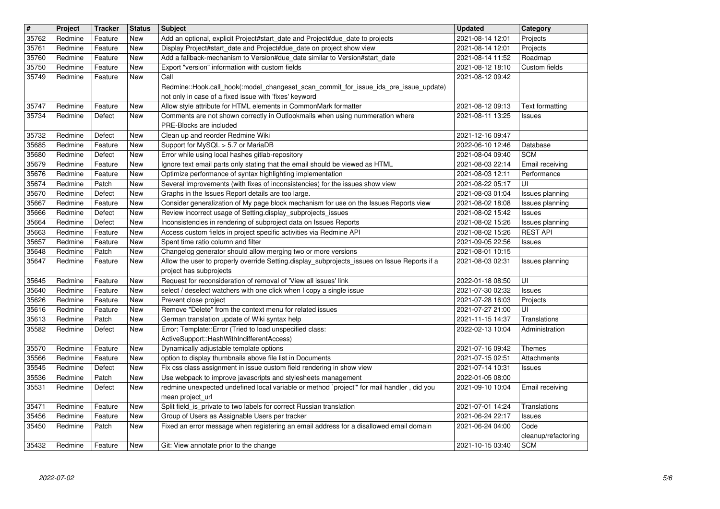| $\vert$ #      | Project            | <b>Tracker</b>     | <b>Status</b>            | <b>Subject</b>                                                                                                                                                                                             | <b>Updated</b>                       | Category                         |
|----------------|--------------------|--------------------|--------------------------|------------------------------------------------------------------------------------------------------------------------------------------------------------------------------------------------------------|--------------------------------------|----------------------------------|
| 35762          | Redmine            | Feature            | New                      | Add an optional, explicit Project#start_date and Project#due_date to projects                                                                                                                              | 2021-08-14 12:01                     | Projects                         |
| 35761          | Redmine            | Feature            | New                      | Display Project#start_date and Project#due_date on project show view                                                                                                                                       | 2021-08-14 12:01                     | Projects                         |
| 35760<br>35750 | Redmine<br>Redmine | Feature<br>Feature | New<br><b>New</b>        | Add a fallback-mechanism to Version#due_date similar to Version#start_date<br>Export "version" information with custom fields                                                                              | 2021-08-14 11:52<br>2021-08-12 18:10 | Roadmap<br>Custom fields         |
| 35749          | Redmine            | Feature            | New                      | Call<br>Redmine::Hook.call_hook(:model_changeset_scan_commit_for_issue_ids_pre_issue_update)                                                                                                               | 2021-08-12 09:42                     |                                  |
| 35747<br>35734 | Redmine<br>Redmine | Feature<br>Defect  | New<br>New               | not only in case of a fixed issue with 'fixes' keyword<br>Allow style attribute for HTML elements in CommonMark formatter<br>Comments are not shown correctly in Outlookmails when using nummeration where | 2021-08-12 09:13<br>2021-08-11 13:25 | Text formatting<br><b>Issues</b> |
| 35732          | Redmine            | Defect             | New                      | PRE-Blocks are included<br>Clean up and reorder Redmine Wiki                                                                                                                                               | 2021-12-16 09:47                     |                                  |
| 35685          | Redmine            | Feature            | New                      | Support for MySQL > 5.7 or MariaDB                                                                                                                                                                         | 2022-06-10 12:46                     | Database                         |
| 35680<br>35679 | Redmine<br>Redmine | Defect<br>Feature  | New<br>New               | Error while using local hashes gitlab-repository<br>Ignore text email parts only stating that the email should be viewed as HTML                                                                           | 2021-08-04 09:40<br>2021-08-03 22:14 | <b>SCM</b><br>Email receiving    |
| 35676          | Redmine            | Feature            | New                      | Optimize performance of syntax highlighting implementation                                                                                                                                                 | 2021-08-03 12:11                     | Performance                      |
| 35674          | Redmine            | Patch              | New                      | Several improvements (with fixes of inconsistencies) for the issues show view                                                                                                                              | 2021-08-22 05:17                     | UI                               |
| 35670          | Redmine            | Defect             | New                      | Graphs in the Issues Report details are too large.                                                                                                                                                         | 2021-08-03 01:04                     | Issues planning                  |
| 35667<br>35666 | Redmine<br>Redmine | Feature<br>Defect  | New<br>New               | Consider generalization of My page block mechanism for use on the Issues Reports view<br>Review incorrect usage of Setting.display_subprojects_issues                                                      | 2021-08-02 18:08<br>2021-08-02 15:42 | Issues planning<br><b>Issues</b> |
| 35664          | Redmine            | Defect             | New                      | Inconsistencies in rendering of subproject data on Issues Reports                                                                                                                                          | 2021-08-02 15:26                     | Issues planning                  |
| 35663          | Redmine            | Feature            | New                      | Access custom fields in project specific activities via Redmine API                                                                                                                                        | 2021-08-02 15:26                     | <b>REST API</b>                  |
| 35657          | Redmine            | Feature            | <b>New</b>               | Spent time ratio column and filter                                                                                                                                                                         | 2021-09-05 22:56                     | <b>Issues</b>                    |
| 35648<br>35647 | Redmine<br>Redmine | Patch<br>Feature   | <b>New</b><br>New        | Changelog generator should allow merging two or more versions<br>Allow the user to properly override Setting.display_subprojects_issues on Issue Reports if a                                              | 2021-08-01 10:15<br>2021-08-03 02:31 | Issues planning                  |
|                |                    |                    |                          | project has subprojects                                                                                                                                                                                    |                                      |                                  |
| 35645          | Redmine            | Feature            | New                      | Request for reconsideration of removal of 'View all issues' link                                                                                                                                           | 2022-01-18 08:50                     | UI                               |
| 35640          | Redmine            | Feature            | New                      | select / deselect watchers with one click when I copy a single issue                                                                                                                                       | 2021-07-30 02:32                     | <b>Issues</b>                    |
| 35626<br>35616 | Redmine<br>Redmine | Feature            | New<br>New               | Prevent close project<br>Remove "Delete" from the context menu for related issues                                                                                                                          | 2021-07-28 16:03<br>2021-07-27 21:00 | Projects<br>UI                   |
| 35613          | Redmine            | Feature<br>Patch   | New                      | German translation update of Wiki syntax help                                                                                                                                                              | 2021-11-15 14:37                     | Translations                     |
| 35582          | Redmine            | Defect             | New                      | Error: Template::Error (Tried to load unspecified class:                                                                                                                                                   | 2022-02-13 10:04                     | Administration                   |
|                |                    |                    |                          | ActiveSupport::HashWithIndifferentAccess)                                                                                                                                                                  |                                      |                                  |
| 35570          | Redmine            | Feature            | New                      | Dynamically adjustable template options                                                                                                                                                                    | 2021-07-16 09:42                     | Themes                           |
| 35566<br>35545 | Redmine<br>Redmine | Feature<br>Defect  | New<br>New               | option to display thumbnails above file list in Documents<br>Fix css class assignment in issue custom field rendering in show view                                                                         | 2021-07-15 02:51<br>2021-07-14 10:31 | Attachments<br><b>Issues</b>     |
| 35536          | Redmine            | Patch              | New                      | Use webpack to improve javascripts and stylesheets management                                                                                                                                              | 2022-01-05 08:00                     |                                  |
| 35531          | Redmine            | Defect             | New                      | redmine unexpected undefined local variable or method `project" for mail handler, did you                                                                                                                  | 2021-09-10 10:04                     | Email receiving                  |
|                |                    |                    |                          | mean project url                                                                                                                                                                                           |                                      |                                  |
| 35471<br>35456 | Redmine<br>Redmine | Feature<br>Feature | <b>New</b><br><b>New</b> | Split field_is_private to two labels for correct Russian translation<br>Group of Users as Assignable Users per tracker                                                                                     | 2021-07-01 14:24<br>2021-06-24 22:17 | Translations<br><b>Issues</b>    |
| 35450          | Redmine            | Patch              | New                      | Fixed an error message when registering an email address for a disallowed email domain                                                                                                                     | 2021-06-24 04:00                     | Code                             |
|                |                    |                    |                          |                                                                                                                                                                                                            |                                      | cleanup/refactoring              |
|                |                    |                    |                          |                                                                                                                                                                                                            |                                      |                                  |
|                |                    |                    |                          |                                                                                                                                                                                                            |                                      |                                  |
|                |                    |                    |                          |                                                                                                                                                                                                            |                                      |                                  |
|                |                    |                    |                          |                                                                                                                                                                                                            |                                      |                                  |
|                |                    |                    |                          |                                                                                                                                                                                                            |                                      |                                  |